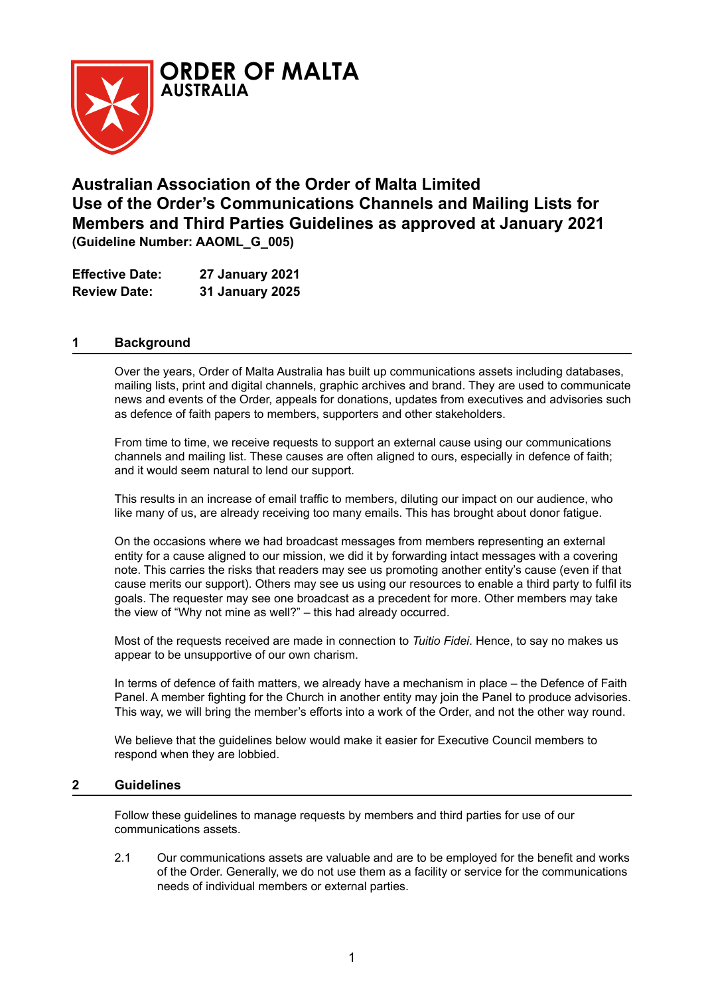

# **Australian Association of the Order of Malta Limited Use of the Order's Communications Channels and Mailing Lists for Members and Third Parties Guidelines as approved at January 2021 (Guideline Number: AAOML\_G\_005)**

| <b>Effective Date:</b> | <b>27 January 2021</b> |
|------------------------|------------------------|
| <b>Review Date:</b>    | <b>31 January 2025</b> |

## **1 Background**

Over the years, Order of Malta Australia has built up communications assets including databases, mailing lists, print and digital channels, graphic archives and brand. They are used to communicate news and events of the Order, appeals for donations, updates from executives and advisories such as defence of faith papers to members, supporters and other stakeholders.

From time to time, we receive requests to support an external cause using our communications channels and mailing list. These causes are often aligned to ours, especially in defence of faith; and it would seem natural to lend our support.

This results in an increase of email traffic to members, diluting our impact on our audience, who like many of us, are already receiving too many emails. This has brought about donor fatigue.

On the occasions where we had broadcast messages from members representing an external entity for a cause aligned to our mission, we did it by forwarding intact messages with a covering note. This carries the risks that readers may see us promoting another entity's cause (even if that cause merits our support). Others may see us using our resources to enable a third party to fulfil its goals. The requester may see one broadcast as a precedent for more. Other members may take the view of "Why not mine as well?" – this had already occurred.

Most of the requests received are made in connection to *Tuitio Fidei*. Hence, to say no makes us appear to be unsupportive of our own charism.

In terms of defence of faith matters, we already have a mechanism in place – the Defence of Faith Panel. A member fighting for the Church in another entity may join the Panel to produce advisories. This way, we will bring the member's efforts into a work of the Order, and not the other way round.

We believe that the guidelines below would make it easier for Executive Council members to respond when they are lobbied.

### **2 Guidelines**

Follow these guidelines to manage requests by members and third parties for use of our communications assets.

2.1 Our communications assets are valuable and are to be employed for the benefit and works of the Order. Generally, we do not use them as a facility or service for the communications needs of individual members or external parties.